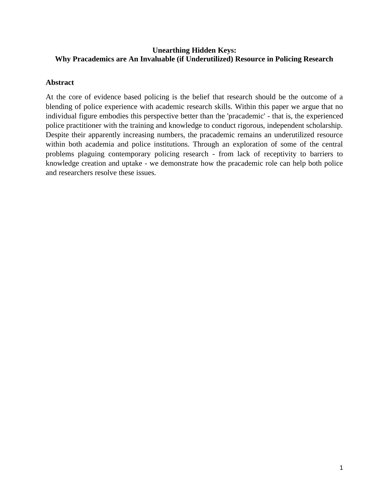## **Unearthing Hidden Keys: Why Pracademics are An Invaluable (if Underutilized) Resource in Policing Research**

# **Abstract**

At the core of evidence based policing is the belief that research should be the outcome of a blending of police experience with academic research skills. Within this paper we argue that no individual figure embodies this perspective better than the 'pracademic' - that is, the experienced police practitioner with the training and knowledge to conduct rigorous, independent scholarship. Despite their apparently increasing numbers, the pracademic remains an underutilized resource within both academia and police institutions. Through an exploration of some of the central problems plaguing contemporary policing research - from lack of receptivity to barriers to knowledge creation and uptake - we demonstrate how the pracademic role can help both police and researchers resolve these issues.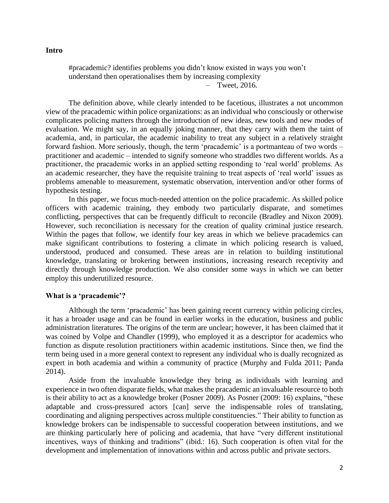#### **Intro**

#pracademic? identifies problems you didn't know existed in ways you won't understand then operationalises them by increasing complexity  $-$  Tweet, 2016.

The definition above, while clearly intended to be facetious, illustrates a not uncommon view of the pracademic within police organizations: as an individual who consciously or otherwise complicates policing matters through the introduction of new ideas, new tools and new modes of evaluation. We might say, in an equally joking manner, that they carry with them the taint of academia, and, in particular, the academic inability to treat any subject in a relatively straight forward fashion. More seriously, though, the term 'pracademic' is a portmanteau of two words – practitioner and academic – intended to signify someone who straddles two different worlds. As a practitioner, the pracademic works in an applied setting responding to 'real world' problems. As an academic researcher, they have the requisite training to treat aspects of 'real world' issues as problems amenable to measurement, systematic observation, intervention and/or other forms of hypothesis testing.

In this paper, we focus much-needed attention on the police pracademic. As skilled police officers with academic training, they embody two particularly disparate, and sometimes conflicting, perspectives that can be frequently difficult to reconcile (Bradley and Nixon 2009). However, such reconciliation is necessary for the creation of quality criminal justice research. Within the pages that follow, we identify four key areas in which we believe pracademics can make significant contributions to fostering a climate in which policing research is valued, understood, produced and consumed. These areas are in relation to building institutional knowledge, translating or brokering between institutions, increasing research receptivity and directly through knowledge production. We also consider some ways in which we can better employ this underutilized resource.

### **What is a 'pracademic'?**

Although the term 'pracademic' has been gaining recent currency within policing circles, it has a broader usage and can be found in earlier works in the education, business and public administration literatures. The origins of the term are unclear; however, it has been claimed that it was coined by Volpe and Chandler (1999), who employed it as a descriptor for academics who function as dispute resolution practitioners within academic institutions. Since then, we find the term being used in a more general context to represent any individual who is dually recognized as expert in both academia and within a community of practice (Murphy and Fulda 2011; Panda 2014).

Aside from the invaluable knowledge they bring as individuals with learning and experience in two often disparate fields, what makes the pracademic an invaluable resource to both is their ability to act as a knowledge broker (Posner 2009). As Posner (2009: 16) explains, "these adaptable and cross-pressured actors [can] serve the indispensable roles of translating, coordinating and aligning perspectives across multiple constituencies." Their ability to function as knowledge brokers can be indispensable to successful cooperation between institutions, and we are thinking particularly here of policing and academia, that have "very different institutional incentives, ways of thinking and traditions" (ibid.: 16). Such cooperation is often vital for the development and implementation of innovations within and across public and private sectors.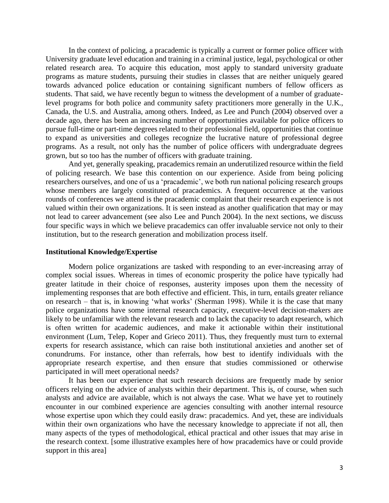In the context of policing, a pracademic is typically a current or former police officer with University graduate level education and training in a criminal justice, legal, psychological or other related research area. To acquire this education, most apply to standard university graduate programs as mature students, pursuing their studies in classes that are neither uniquely geared towards advanced police education or containing significant numbers of fellow officers as students. That said, we have recently begun to witness the development of a number of graduatelevel programs for both police and community safety practitioners more generally in the U.K., Canada, the U.S. and Australia, among others. Indeed, as Lee and Punch (2004) observed over a decade ago, there has been an increasing number of opportunities available for police officers to pursue full-time or part-time degrees related to their professional field, opportunities that continue to expand as universities and colleges recognize the lucrative nature of professional degree programs. As a result, not only has the number of police officers with undergraduate degrees grown, but so too has the number of officers with graduate training.

And yet, generally speaking, pracademics remain an underutilized resource within the field of policing research. We base this contention on our experience. Aside from being policing researchers ourselves, and one of us a 'pracademic', we both run national policing research groups whose members are largely constituted of pracademics. A frequent occurrence at the various rounds of conferences we attend is the pracademic complaint that their research experience is not valued within their own organizations. It is seen instead as another qualification that may or may not lead to career advancement (see also Lee and Punch 2004). In the next sections, we discuss four specific ways in which we believe pracademics can offer invaluable service not only to their institution, but to the research generation and mobilization process itself.

#### **Institutional Knowledge/Expertise**

Modern police organizations are tasked with responding to an ever-increasing array of complex social issues. Whereas in times of economic prosperity the police have typically had greater latitude in their choice of responses, austerity imposes upon them the necessity of implementing responses that are both effective and efficient. This, in turn, entails greater reliance on research – that is, in knowing 'what works' (Sherman 1998). While it is the case that many police organizations have some internal research capacity, executive-level decision-makers are likely to be unfamiliar with the relevant research and to lack the capacity to adapt research, which is often written for academic audiences, and make it actionable within their institutional environment (Lum, Telep, Koper and Grieco 2011). Thus, they frequently must turn to external experts for research assistance, which can raise both institutional anxieties and another set of conundrums. For instance, other than referrals, how best to identify individuals with the appropriate research expertise, and then ensure that studies commissioned or otherwise participated in will meet operational needs?

It has been our experience that such research decisions are frequently made by senior officers relying on the advice of analysts within their department. This is, of course, when such analysts and advice are available, which is not always the case. What we have yet to routinely encounter in our combined experience are agencies consulting with another internal resource whose expertise upon which they could easily draw: pracademics. And yet, these are individuals within their own organizations who have the necessary knowledge to appreciate if not all, then many aspects of the types of methodological, ethical practical and other issues that may arise in the research context. [some illustrative examples here of how pracademics have or could provide support in this area]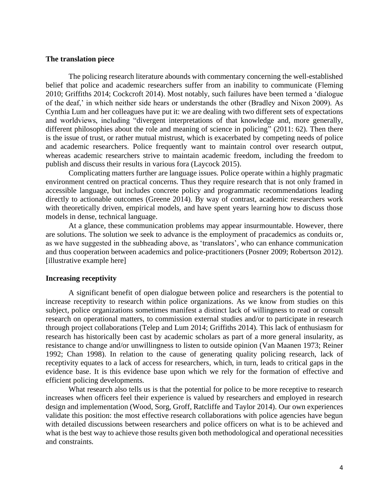## **The translation piece**

The policing research literature abounds with commentary concerning the well-established belief that police and academic researchers suffer from an inability to communicate (Fleming 2010; Griffiths 2014; Cockcroft 2014). Most notably, such failures have been termed a 'dialogue of the deaf,' in which neither side hears or understands the other (Bradley and Nixon 2009). As Cynthia Lum and her colleagues have put it: we are dealing with two different sets of expectations and worldviews, including "divergent interpretations of that knowledge and, more generally, different philosophies about the role and meaning of science in policing" (2011: 62). Then there is the issue of trust, or rather mutual mistrust, which is exacerbated by competing needs of police and academic researchers. Police frequently want to maintain control over research output, whereas academic researchers strive to maintain academic freedom, including the freedom to publish and discuss their results in various fora (Laycock 2015).

Complicating matters further are language issues. Police operate within a highly pragmatic environment centred on practical concerns. Thus they require research that is not only framed in accessible language, but includes concrete policy and programmatic recommendations leading directly to actionable outcomes (Greene 2014). By way of contrast, academic researchers work with theoretically driven, empirical models, and have spent years learning how to discuss those models in dense, technical language.

At a glance, these communication problems may appear insurmountable. However, there are solutions. The solution we seek to advance is the employment of pracademics as conduits or, as we have suggested in the subheading above, as 'translators', who can enhance communication and thus cooperation between academics and police-practitioners (Posner 2009; Robertson 2012). [illustrative example here]

#### **Increasing receptivity**

A significant benefit of open dialogue between police and researchers is the potential to increase receptivity to research within police organizations. As we know from studies on this subject, police organizations sometimes manifest a distinct lack of willingness to read or consult research on operational matters, to commission external studies and/or to participate in research through project collaborations (Telep and Lum 2014; Griffiths 2014). This lack of enthusiasm for research has historically been cast by academic scholars as part of a more general insularity, as resistance to change and/or unwillingness to listen to outside opinion (Van Maanen 1973; Reiner 1992; Chan 1998). In relation to the cause of generating quality policing research, lack of receptivity equates to a lack of access for researchers, which, in turn, leads to critical gaps in the evidence base. It is this evidence base upon which we rely for the formation of effective and efficient policing developments.

What research also tells us is that the potential for police to be more receptive to research increases when officers feel their experience is valued by researchers and employed in research design and implementation (Wood, Sorg, Groff, Ratcliffe and Taylor 2014). Our own experiences validate this position: the most effective research collaborations with police agencies have begun with detailed discussions between researchers and police officers on what is to be achieved and what is the best way to achieve those results given both methodological and operational necessities and constraints.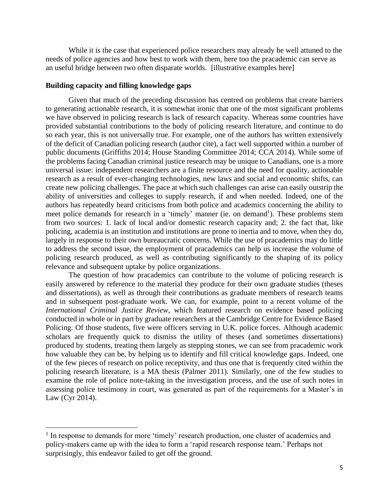While it is the case that experienced police researchers may already be well attuned to the needs of police agencies and how best to work with them, here too the pracademic can serve as an useful bridge between two often disparate worlds. [illustrative examples here]

### **Building capacity and filling knowledge gaps**

Given that much of the preceding discussion has centred on problems that create barriers to generating actionable research, it is somewhat ironic that one of the most significant problems we have observed in policing research is lack of research capacity. Whereas some countries have provided substantial contributions to the body of policing research literature, and continue to do so each year, this is not universally true. For example, one of the authors has written extensively of the deficit of Canadian policing research (author cite), a fact well supported within a number of public documents (Griffiths 2014; House Standing Committee 2014; CCA 2014). While some of the problems facing Canadian criminal justice research may be unique to Canadians, one is a more universal issue: independent researchers are a finite resource and the need for quality, actionable research as a result of ever-changing technologies, new laws and social and economic shifts, can create new policing challenges. The pace at which such challenges can arise can easily outstrip the ability of universities and colleges to supply research, if and when needed. Indeed, one of the authors has repeatedly heard criticisms from both police and academics concerning the ability to meet police demands for research in a 'timely' manner (ie. on demand<sup>1</sup>). These problems stem from two sources: 1. lack of local and/or domestic research capacity and; 2. the fact that, like policing, academia is an institution and institutions are prone to inertia and to move, when they do, largely in response to their own bureaucratic concerns. While the use of pracademics may do little to address the second issue, the employment of pracademics can help us increase the volume of policing research produced, as well as contributing significantly to the shaping of its policy relevance and subsequent uptake by police organizations.

The question of how pracademics can contribute to the volume of policing research is easily answered by reference to the material they produce for their own graduate studies (theses and dissertations), as well as through their contributions as graduate members of research teams and in subsequent post-graduate work. We can, for example, point to a recent volume of the *International Criminal Justice Review*, which featured research on evidence based policing conducted in whole or in part by graduate researchers at the Cambridge Centre for Evidence Based Policing. Of those students, five were officers serving in U.K. police forces. Although academic scholars are frequently quick to dismiss the utility of theses (and sometimes dissertations) produced by students, treating them largely as stepping stones, we can see from pracademic work how valuable they can be, by helping us to identify and fill critical knowledge gaps. Indeed, one of the few pieces of research on police receptivity, and thus one that is frequently cited within the policing research literature, is a MA thesis (Palmer 2011). Similarly, one of the few studies to examine the role of police note-taking in the investigation process, and the use of such notes in assessing police testimony in court, was generated as part of the requirements for a Master's in Law (Cyr 2014).

<sup>&</sup>lt;sup>1</sup> In response to demands for more 'timely' research production, one cluster of academics and policy-makers came up with the idea to form a 'rapid research response team.' Perhaps not surprisingly, this endeavor failed to get off the ground.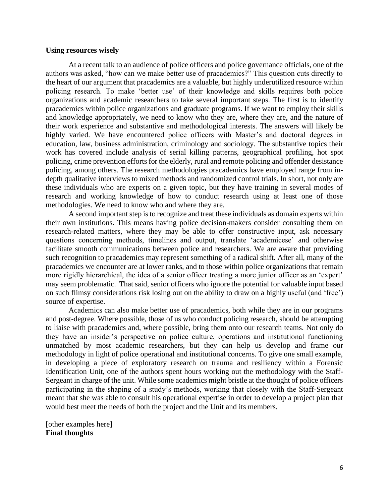### **Using resources wisely**

At a recent talk to an audience of police officers and police governance officials, one of the authors was asked, "how can we make better use of pracademics?" This question cuts directly to the heart of our argument that pracademics are a valuable, but highly underutilized resource within policing research. To make 'better use' of their knowledge and skills requires both police organizations and academic researchers to take several important steps. The first is to identify pracademics within police organizations and graduate programs. If we want to employ their skills and knowledge appropriately, we need to know who they are, where they are, and the nature of their work experience and substantive and methodological interests. The answers will likely be highly varied. We have encountered police officers with Master's and doctoral degrees in education, law, business administration, criminology and sociology. The substantive topics their work has covered include analysis of serial killing patterns, geographical profiling, hot spot policing, crime prevention efforts for the elderly, rural and remote policing and offender desistance policing, among others. The research methodologies pracademics have employed range from indepth qualitative interviews to mixed methods and randomized control trials. In short, not only are these individuals who are experts on a given topic, but they have training in several modes of research and working knowledge of how to conduct research using at least one of those methodologies. We need to know who and where they are.

A second important step is to recognize and treat these individuals as domain experts within their own institutions. This means having police decision-makers consider consulting them on research-related matters, where they may be able to offer constructive input, ask necessary questions concerning methods, timelines and output, translate 'academicese' and otherwise facilitate smooth communications between police and researchers. We are aware that providing such recognition to pracademics may represent something of a radical shift. After all, many of the pracademics we encounter are at lower ranks, and to those within police organizations that remain more rigidly hierarchical, the idea of a senior officer treating a more junior officer as an 'expert' may seem problematic. That said, senior officers who ignore the potential for valuable input based on such flimsy considerations risk losing out on the ability to draw on a highly useful (and 'free') source of expertise.

Academics can also make better use of pracademics, both while they are in our programs and post-degree. Where possible, those of us who conduct policing research, should be attempting to liaise with pracademics and, where possible, bring them onto our research teams. Not only do they have an insider's perspective on police culture, operations and institutional functioning unmatched by most academic researchers, but they can help us develop and frame our methodology in light of police operational and institutional concerns. To give one small example, in developing a piece of exploratory research on trauma and resiliency within a Forensic Identification Unit, one of the authors spent hours working out the methodology with the Staff-Sergeant in charge of the unit. While some academics might bristle at the thought of police officers participating in the shaping of a study's methods, working that closely with the Staff-Sergeant meant that she was able to consult his operational expertise in order to develop a project plan that would best meet the needs of both the project and the Unit and its members.

[other examples here] **Final thoughts**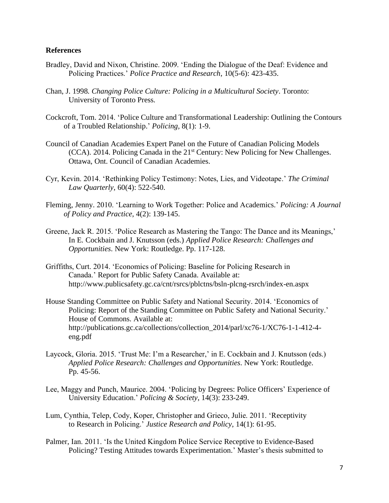### **References**

- Bradley, David and Nixon, Christine. 2009. 'Ending the Dialogue of the Deaf: Evidence and Policing Practices.' *Police Practice and Research*, 10(5-6): 423-435.
- Chan, J. 1998. *Changing Police Culture: Policing in a Multicultural Society*. Toronto: University of Toronto Press.
- Cockcroft, Tom. 2014. 'Police Culture and Transformational Leadership: Outlining the Contours of a Troubled Relationship.' *Policing,* 8(1): 1-9.
- Council of Canadian Academies Expert Panel on the Future of Canadian Policing Models (CCA). 2014. Policing Canada in the 21st Century: New Policing for New Challenges. Ottawa, Ont. Council of Canadian Academies.
- Cyr, Kevin. 2014. 'Rethinking Policy Testimony: Notes, Lies, and Videotape.' *The Criminal Law Quarterly*, 60(4): 522-540.
- Fleming, Jenny. 2010. 'Learning to Work Together: Police and Academics.' *Policing: A Journal of Policy and Practice,* 4(2): 139-145.
- Greene, Jack R. 2015. 'Police Research as Mastering the Tango: The Dance and its Meanings,' In E. Cockbain and J. Knutsson (eds.) *Applied Police Research: Challenges and Opportunities*. New York: Routledge. Pp. 117-128.
- Griffiths, Curt. 2014. 'Economics of Policing: Baseline for Policing Research in Canada.' Report for Public Safety Canada. Available at: http://www.publicsafety.gc.ca/cnt/rsrcs/pblctns/bsln-plcng-rsrch/index-en.aspx
- House Standing Committee on Public Safety and National Security. 2014. 'Economics of Policing: Report of the Standing Committee on Public Safety and National Security.' House of Commons. Available at: http://publications.gc.ca/collections/collection\_2014/parl/xc76-1/XC76-1-1-412-4 eng.pdf
- Laycock, Gloria. 2015. 'Trust Me: I'm a Researcher,' in E. Cockbain and J. Knutsson (eds.) *Applied Police Research: Challenges and Opportunities*. New York: Routledge. Pp. 45-56.
- Lee, Maggy and Punch, Maurice. 2004. 'Policing by Degrees: Police Officers' Experience of University Education.' *Policing & Society*, 14(3): 233-249.
- Lum, Cynthia, Telep, Cody, Koper, Christopher and Grieco, Julie. 2011. 'Receptivity to Research in Policing.' *Justice Research and Policy*, 14(1): 61-95.
- Palmer, Ian. 2011. 'Is the United Kingdom Police Service Receptive to Evidence-Based Policing? Testing Attitudes towards Experimentation.' Master's thesis submitted to